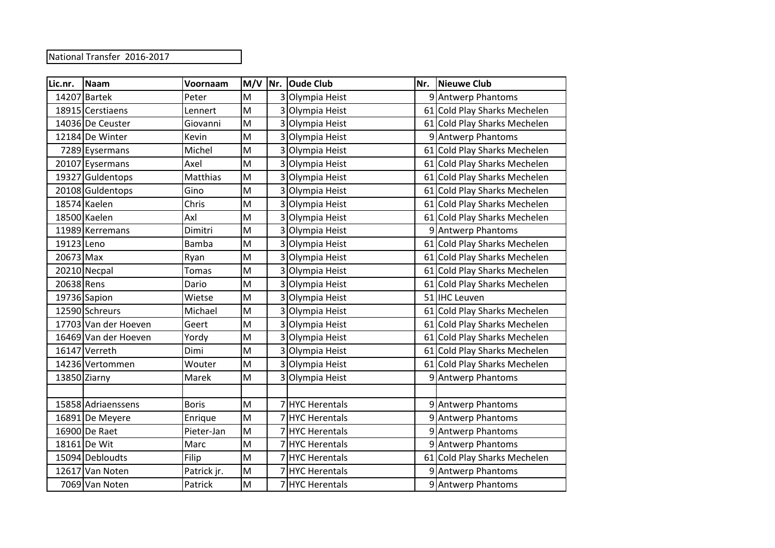National Transfer 2016-2017

| Lic.nr.    | Naam                 | Voornaam     | $M/V$ Nr.                                                                             |   | <b>Oude Club</b>     | Nr. | Nieuwe Club                  |
|------------|----------------------|--------------|---------------------------------------------------------------------------------------|---|----------------------|-----|------------------------------|
|            | 14207 Bartek         | Peter        | M                                                                                     | 3 | Olympia Heist        |     | 9 Antwerp Phantoms           |
|            | 18915 Cerstiaens     | Lennert      | M                                                                                     |   | Olympia Heist        |     | 61 Cold Play Sharks Mechelen |
|            | 14036 De Ceuster     | Giovanni     | M                                                                                     |   | Olympia Heist        |     | 61 Cold Play Sharks Mechelen |
|            | 12184 De Winter      | Kevin        | M                                                                                     |   | Olympia Heist        |     | 9 Antwerp Phantoms           |
|            | 7289 Eysermans       | Michel       | M                                                                                     |   | Olympia Heist        |     | 61 Cold Play Sharks Mechelen |
|            | 20107 Eysermans      | Axel         | M                                                                                     | 3 | Olympia Heist        |     | 61 Cold Play Sharks Mechelen |
|            | 19327 Guldentops     | Matthias     | M                                                                                     |   | Olympia Heist        |     | 61 Cold Play Sharks Mechelen |
|            | 20108 Guldentops     | Gino         | M                                                                                     |   | Olympia Heist        |     | 61 Cold Play Sharks Mechelen |
|            | 18574 Kaelen         | Chris        | M                                                                                     |   | Olympia Heist        |     | 61 Cold Play Sharks Mechelen |
|            | 18500 Kaelen         | Axl          | M                                                                                     |   | Olympia Heist        |     | 61 Cold Play Sharks Mechelen |
|            | 11989 Kerremans      | Dimitri      | M                                                                                     | 3 | Olympia Heist        |     | 9 Antwerp Phantoms           |
| 19123 Leno |                      | Bamba        | M                                                                                     |   | Olympia Heist        |     | 61 Cold Play Sharks Mechelen |
| 20673 Max  |                      | Ryan         | M                                                                                     |   | Olympia Heist        |     | 61 Cold Play Sharks Mechelen |
|            | 20210 Necpal         | <b>Tomas</b> | M                                                                                     | 3 | Olympia Heist        |     | 61 Cold Play Sharks Mechelen |
| 20638 Rens |                      | Dario        | M                                                                                     |   | Olympia Heist        |     | 61 Cold Play Sharks Mechelen |
|            | 19736 Sapion         | Wietse       | M                                                                                     |   | Olympia Heist        |     | 51 IHC Leuven                |
|            | 12590 Schreurs       | Michael      | M                                                                                     |   | Olympia Heist        |     | 61 Cold Play Sharks Mechelen |
|            | 17703 Van der Hoeven | Geert        | M                                                                                     |   | Olympia Heist        |     | 61 Cold Play Sharks Mechelen |
|            | 16469 Van der Hoeven | Yordy        | M                                                                                     |   | Olympia Heist        |     | 61 Cold Play Sharks Mechelen |
|            | 16147 Verreth        | Dimi         | M                                                                                     |   | Olympia Heist        |     | 61 Cold Play Sharks Mechelen |
|            | 14236 Vertommen      | Wouter       | M                                                                                     |   | Olympia Heist        |     | 61 Cold Play Sharks Mechelen |
|            | 13850 Ziarny         | Marek        | M                                                                                     |   | Olympia Heist        |     | 9 Antwerp Phantoms           |
|            |                      |              |                                                                                       |   |                      |     |                              |
|            | 15858 Adriaenssens   | <b>Boris</b> | M                                                                                     |   | <b>HYC Herentals</b> |     | 9 Antwerp Phantoms           |
|            | 16891 De Meyere      | Enrique      | M                                                                                     |   | <b>HYC Herentals</b> |     | 9 Antwerp Phantoms           |
|            | 16900 De Raet        | Pieter-Jan   | M                                                                                     |   | <b>HYC Herentals</b> |     | 9 Antwerp Phantoms           |
|            | 18161 De Wit         | Marc         | M                                                                                     |   | <b>HYC Herentals</b> |     | 9 Antwerp Phantoms           |
|            | 15094 Debloudts      | Filip        | M                                                                                     |   | <b>HYC Herentals</b> |     | 61 Cold Play Sharks Mechelen |
|            | 12617 Van Noten      | Patrick jr.  | M                                                                                     |   | <b>HYC Herentals</b> |     | 9 Antwerp Phantoms           |
|            | 7069 Van Noten       | Patrick      | $\mathsf{M}% _{T}=\mathsf{M}_{T}\!\left( a,b\right) ,\ \mathsf{M}_{T}=\mathsf{M}_{T}$ |   | <b>HYC Herentals</b> |     | 9 Antwerp Phantoms           |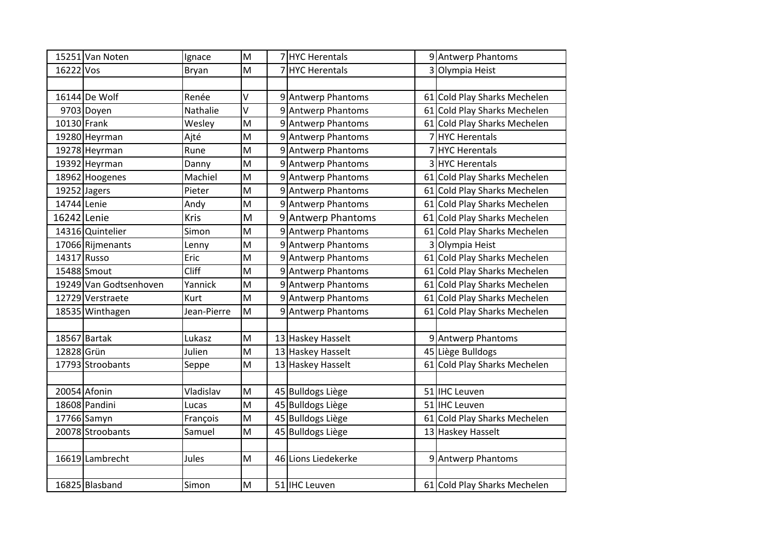|             | 15251 Van Noten        | Ignace      | $\mathsf{M}% _{T}=\mathsf{M}_{T}\!\left( a,b\right) ,\ \mathsf{M}_{T}=\mathsf{M}_{T}$ |   | 7HYC Herentals          | 9 Antwerp Phantoms           |
|-------------|------------------------|-------------|---------------------------------------------------------------------------------------|---|-------------------------|------------------------------|
| 16222 Vos   |                        | Bryan       | M                                                                                     |   | <b>HYC Herentals</b>    | 3 Olympia Heist              |
|             |                        |             |                                                                                       |   |                         |                              |
|             | 16144 De Wolf          | Renée       | V                                                                                     |   | 9 Antwerp Phantoms      | 61 Cold Play Sharks Mechelen |
|             | 9703 Doyen             | Nathalie    | $\vee$                                                                                |   | 9 Antwerp Phantoms      | 61 Cold Play Sharks Mechelen |
| 10130 Frank |                        | Wesley      | $\mathsf{M}% _{T}=\mathsf{M}_{T}\!\left( a,b\right) ,\ \mathsf{M}_{T}=\mathsf{M}_{T}$ |   | 9 Antwerp Phantoms      | 61 Cold Play Sharks Mechelen |
|             | 19280 Heyrman          | Ajté        | M                                                                                     |   | 9 Antwerp Phantoms      | 7 HYC Herentals              |
|             | 19278 Heyrman          | Rune        | M                                                                                     |   | 9 Antwerp Phantoms      | 7 HYC Herentals              |
|             | 19392 Heyrman          | Danny       | M                                                                                     |   | 9 Antwerp Phantoms      | 3 HYC Herentals              |
|             | 18962 Hoogenes         | Machiel     | M                                                                                     |   | 9 Antwerp Phantoms      | 61 Cold Play Sharks Mechelen |
|             | 19252 Jagers           | Pieter      | M                                                                                     |   | 9 Antwerp Phantoms      | 61 Cold Play Sharks Mechelen |
| 14744 Lenie |                        | Andy        | M                                                                                     | 9 | Antwerp Phantoms        | 61 Cold Play Sharks Mechelen |
| 16242 Lenie |                        | Kris        | M                                                                                     |   | 9 Antwerp Phantoms      | 61 Cold Play Sharks Mechelen |
|             | 14316 Quintelier       | Simon       | M                                                                                     |   | 9 Antwerp Phantoms      | 61 Cold Play Sharks Mechelen |
|             | 17066 Rijmenants       | Lenny       | M                                                                                     |   | 9 Antwerp Phantoms      | 3 Olympia Heist              |
|             | 14317 Russo            | Eric        | M                                                                                     | 9 | <b>Antwerp Phantoms</b> | 61 Cold Play Sharks Mechelen |
|             | 15488 Smout            | Cliff       | M                                                                                     |   | 9 Antwerp Phantoms      | 61 Cold Play Sharks Mechelen |
|             | 19249 Van Godtsenhoven | Yannick     | M                                                                                     |   | 9 Antwerp Phantoms      | 61 Cold Play Sharks Mechelen |
|             | 12729 Verstraete       | Kurt        | M                                                                                     | 9 | <b>Antwerp Phantoms</b> | 61 Cold Play Sharks Mechelen |
|             | 18535 Winthagen        | Jean-Pierre | M                                                                                     | 9 | <b>Antwerp Phantoms</b> | 61 Cold Play Sharks Mechelen |
|             |                        |             |                                                                                       |   |                         |                              |
|             | 18567 Bartak           | Lukasz      | M                                                                                     |   | 13 Haskey Hasselt       | 9 Antwerp Phantoms           |
| 12828 Grün  |                        | Julien      | M                                                                                     |   | 13 Haskey Hasselt       | 45 Liège Bulldogs            |
|             | 17793 Stroobants       | Seppe       | M                                                                                     |   | 13 Haskey Hasselt       | 61 Cold Play Sharks Mechelen |
|             |                        |             |                                                                                       |   |                         |                              |
|             | 20054 Afonin           | Vladislav   | M                                                                                     |   | 45 Bulldogs Liège       | 51 IHC Leuven                |
|             | 18608 Pandini          | Lucas       | M                                                                                     |   | 45 Bulldogs Liège       | 51 IHC Leuven                |
|             | 17766 Samyn            | François    | M                                                                                     |   | 45 Bulldogs Liège       | 61 Cold Play Sharks Mechelen |
|             | 20078 Stroobants       | Samuel      | M                                                                                     |   | 45 Bulldogs Liège       | 13 Haskey Hasselt            |
|             |                        |             |                                                                                       |   |                         |                              |
|             | 16619 Lambrecht        | Jules       | M                                                                                     |   | 46 Lions Liedekerke     | 9 Antwerp Phantoms           |
|             |                        |             |                                                                                       |   |                         |                              |
|             | 16825 Blasband         | Simon       | M                                                                                     |   | 51 IHC Leuven           | 61 Cold Play Sharks Mechelen |